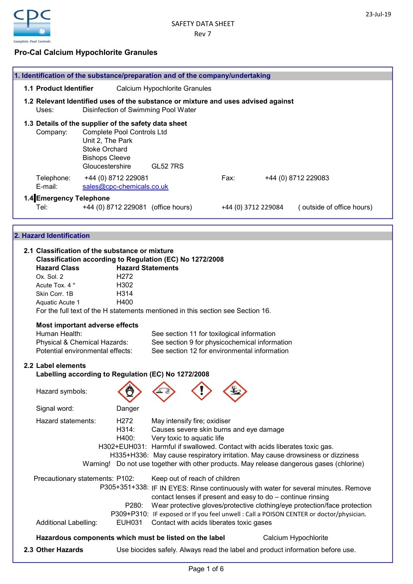

# Pro-Cal Calcium Hypochlorite Granules

|                               | 1. Identification of the substance/preparation and of the company/undertaking                                               |                               |                                              |  |                           |
|-------------------------------|-----------------------------------------------------------------------------------------------------------------------------|-------------------------------|----------------------------------------------|--|---------------------------|
| <b>1.1 Product Identifier</b> |                                                                                                                             | Calcium Hypochlorite Granules |                                              |  |                           |
|                               |                                                                                                                             |                               |                                              |  |                           |
| Uses:                         | 1.2 Relevant Identified uses of the substance or mixture and uses advised against<br>Disinfection of Swimming Pool Water    |                               |                                              |  |                           |
|                               |                                                                                                                             |                               |                                              |  |                           |
|                               | 1.3 Details of the supplier of the safety data sheet                                                                        |                               |                                              |  |                           |
| Company:                      | <b>Complete Pool Controls Ltd</b>                                                                                           |                               |                                              |  |                           |
|                               | Unit 2, The Park<br><b>Stoke Orchard</b>                                                                                    |                               |                                              |  |                           |
|                               | <b>Bishops Cleeve</b>                                                                                                       |                               |                                              |  |                           |
|                               | Gloucestershire                                                                                                             | <b>GL52 7RS</b>               |                                              |  |                           |
| Telephone:                    | +44 (0) 8712 229081                                                                                                         |                               | Fax:                                         |  | +44 (0) 8712 229083       |
| E-mail:                       | sales@cpc-chemicals.co.uk                                                                                                   |                               |                                              |  |                           |
| 1.4 Emergency Telephone       |                                                                                                                             |                               |                                              |  |                           |
| Tel:                          | +44 (0) 8712 229081 (office hours)                                                                                          |                               | +44 (0) 3712 229084                          |  | (outside of office hours) |
|                               |                                                                                                                             |                               |                                              |  |                           |
|                               |                                                                                                                             |                               |                                              |  |                           |
| 2. Hazard Identification      |                                                                                                                             |                               |                                              |  |                           |
|                               |                                                                                                                             |                               |                                              |  |                           |
|                               | 2.1 Classification of the substance or mixture                                                                              |                               |                                              |  |                           |
| <b>Hazard Class</b>           | Classification according to Regulation (EC) No 1272/2008                                                                    |                               |                                              |  |                           |
| Ox. Sol. 2                    | H <sub>272</sub>                                                                                                            | <b>Hazard Statements</b>      |                                              |  |                           |
| Acute Tox. 4 *                | H302                                                                                                                        |                               |                                              |  |                           |
| Skin Corr. 1B                 | H314                                                                                                                        |                               |                                              |  |                           |
| Aquatic Acute 1               | H400                                                                                                                        |                               |                                              |  |                           |
|                               | For the full text of the H statements mentioned in this section see Section 16.                                             |                               |                                              |  |                           |
|                               | Most important adverse effects                                                                                              |                               |                                              |  |                           |
| Human Health:                 |                                                                                                                             |                               |                                              |  |                           |
|                               | See section 11 for toxilogical information<br>See section 9 for physicochemical information<br>Physical & Chemical Hazards: |                               |                                              |  |                           |
|                               | Potential environmental effects:                                                                                            |                               | See section 12 for environmental information |  |                           |

# 2.2 Label elements

Labelling according to Regulation (EC) No 1272/2008

| Hazard symbols:                                                 |                                     |                                                            |                                          |                                                                                                                                                                                                                                                                                                                            |  |
|-----------------------------------------------------------------|-------------------------------------|------------------------------------------------------------|------------------------------------------|----------------------------------------------------------------------------------------------------------------------------------------------------------------------------------------------------------------------------------------------------------------------------------------------------------------------------|--|
| Signal word:                                                    | Danger                              |                                                            |                                          |                                                                                                                                                                                                                                                                                                                            |  |
| Hazard statements:                                              | H <sub>2</sub> 72<br>H314:<br>H400: | May intensify fire; oxidiser<br>Very toxic to aquatic life | Causes severe skin burns and eye damage  | H302+EUH031: Harmful if swallowed. Contact with acids liberates toxic gas.<br>H335+H336: May cause respiratory irritation. May cause drowsiness or dizziness<br>Warning! Do not use together with other products. May release dangerous gases (chlorine)                                                                   |  |
| Precautionary statements: P102:<br><b>Additional Labelling:</b> | P <sub>280</sub> :<br>EUH031        | Keep out of reach of children                              | Contact with acids liberates toxic gases | P305+351+338: IF IN EYES: Rinse continuously with water for several minutes. Remove<br>contact lenses if present and easy to do - continue rinsing<br>Wear protective gloves/protective clothing/eye protection/face protection<br>P309+P310: IF exposed or If you feel unwell : Call a POISON CENTER or doctor/physician. |  |
| Hazardous components which must be listed on the label          |                                     |                                                            |                                          | Calcium Hypochlorite                                                                                                                                                                                                                                                                                                       |  |
| 2.3 Other Hazards                                               |                                     |                                                            |                                          | Use biocides safely. Always read the label and product information before use.                                                                                                                                                                                                                                             |  |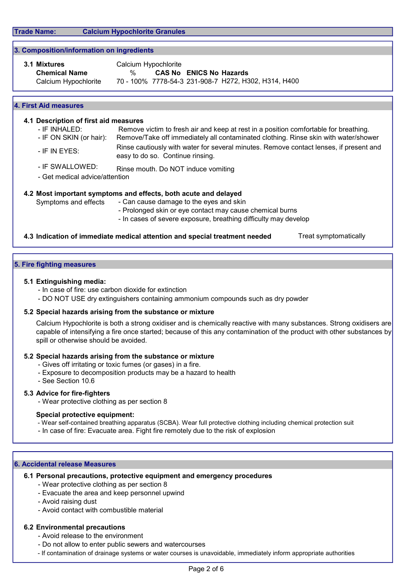Trade Name: Calcium Hypochlorite Granules

### 3. Composition/information on ingredients

| 3.1 Mixtures         | Calcium Hypochlorite |  |                                |                                                      |
|----------------------|----------------------|--|--------------------------------|------------------------------------------------------|
| <b>Chemical Name</b> | $\%$                 |  | <b>CAS No ENICS No Hazards</b> |                                                      |
| Calcium Hypochlorite |                      |  |                                | 70 - 100% 7778-54-3 231-908-7 H272, H302, H314, H400 |

#### 4. First Aid measures

### 4.1 Description of first aid measures

- IF INHALED: Remove victim to fresh air and keep at rest in a position comfortable for breathing. - IF ON SKIN (or hair): Remove/Take off immediately all contaminated clothing. Rinse skin with water/shower
- IF IN EYES: Rinse cautiously with water for several minutes. Remove contact lenses, if present and easy to do so. Continue rinsing.
- IF SWALLOWED: Rinse mouth. Do NOT induce vomiting
- Get medical advice/attention

## 4.2 Most important symptoms and effects, both acute and delayed

- Symptoms and effects Can cause damage to the eyes and skin
	- Prolonged skin or eye contact may cause chemical burns
	- In cases of severe exposure, breathing difficulty may develop

### 4.3 Indication of immediate medical attention and special treatment needed Treat symptomatically

#### 5. Fire fighting measures

#### 5.1 Extinguishing media:

- In case of fire: use carbon dioxide for extinction
- DO NOT USE dry extinguishers containing ammonium compounds such as dry powder

#### 5.2 Special hazards arising from the substance or mixture

Calcium Hypochlorite is both a strong oxidiser and is chemically reactive with many substances. Strong oxidisers are capable of intensifying a fire once started; because of this any contamination of the product with other substances by spill or otherwise should be avoided.

#### 5.2 Special hazards arising from the substance or mixture

- Gives off irritating or toxic fumes (or gases) in a fire.
- Exposure to decomposition products may be a hazard to health
- See Section 10.6

#### 5.3 Advice for fire-fighters

- Wear protective clothing as per section 8

### Special protective equipment:

- Wear self-contained breathing apparatus (SCBA). Wear full protective clothing including chemical protection suit
- In case of fire: Evacuate area. Fight fire remotely due to the risk of explosion

#### 6. Accidental release Measures

## 6.1 Personal precautions, protective equipment and emergency procedures

- Wear protective clothing as per section 8

- Evacuate the area and keep personnel upwind
- Avoid raising dust
- Avoid contact with combustible material

## 6.2 Environmental precautions

- Avoid release to the environment
- Do not allow to enter public sewers and watercourses
- If contamination of drainage systems or water courses is unavoidable, immediately inform appropriate authorities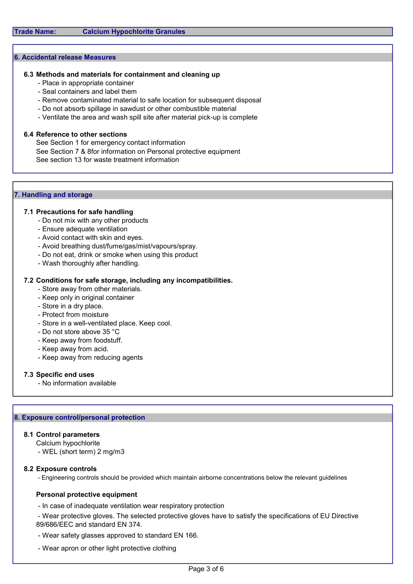### 6. Accidental release Measures

#### 6.3 Methods and materials for containment and cleaning up

- Place in appropriate container
- Seal containers and label them
- Remove contaminated material to safe location for subsequent disposal
- Do not absorb spillage in sawdust or other combustible material
- Ventilate the area and wash spill site after material pick-up is complete

### 6.4 Reference to other sections

See Section 7 & 8for information on Personal protective equipment See Section 1 for emergency contact information See section 13 for waste treatment information

### 7. Handling and storage

### 7.1 Precautions for safe handling

- Do not mix with any other products
- Ensure adequate ventilation
- Avoid contact with skin and eyes.
- Avoid breathing dust/fume/gas/mist/vapours/spray.
- Do not eat, drink or smoke when using this product
- Wash thoroughly after handling.

### 7.2 Conditions for safe storage, including any incompatibilities.

- Store away from other materials.
- Keep only in original container
- Store in a dry place.
- Protect from moisture
- Store in a well-ventilated place. Keep cool.
- Do not store above 35 °C
- Keep away from foodstuff.
- Keep away from acid.
- Keep away from reducing agents

#### 7.3 Specific end uses

- No information available

## 8. Exposure control/personal protection

#### 8.1 Control parameters

Calcium hypochlorite

- WEL (short term) 2 mg/m3

#### 8.2 Exposure controls

- Engineering controls should be provided which maintain airborne concentrations below the relevant guidelines

#### Personal protective equipment

- In case of inadequate ventilation wear respiratory protection

 - Wear protective gloves. The selected protective gloves have to satisfy the specifications of EU Directive 89/686/EEC and standard EN 374.

- Wear safety glasses approved to standard EN 166.
- Wear apron or other light protective clothing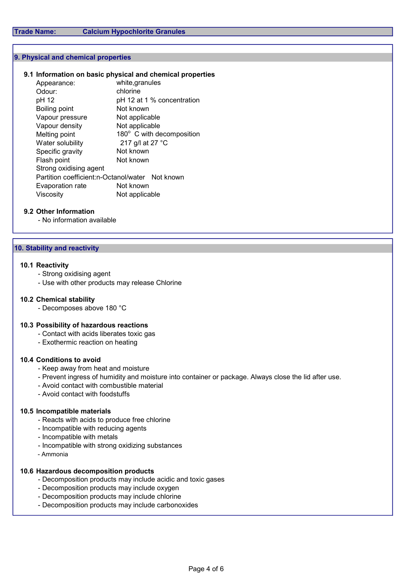#### 9. Physical and chemical properties

## 9.1 Information on basic physical and chemical properties

| Appearance:                                     | white, granules            |  |  |  |  |
|-------------------------------------------------|----------------------------|--|--|--|--|
| Odour:                                          | chlorine                   |  |  |  |  |
| pH 12                                           | pH 12 at 1 % concentration |  |  |  |  |
| Boiling point                                   | Not known                  |  |  |  |  |
| Vapour pressure                                 | Not applicable             |  |  |  |  |
| Vapour density                                  | Not applicable             |  |  |  |  |
| Melting point                                   | 180° C with decomposition  |  |  |  |  |
| Water solubility                                | 217 g/l at 27 °C           |  |  |  |  |
| Specific gravity                                | Not known                  |  |  |  |  |
| Flash point                                     | Not known                  |  |  |  |  |
| Strong oxidising agent                          |                            |  |  |  |  |
| Partition coefficient:n-Octanol/water Not known |                            |  |  |  |  |
| Evaporation rate                                | Not known                  |  |  |  |  |
| Viscosity                                       | Not applicable             |  |  |  |  |
|                                                 |                            |  |  |  |  |

## 9.2 Other Information

- No information available

## 10. Stability and reactivity

## 10.1 Reactivity

- Strong oxidising agent
- Use with other products may release Chlorine

## 10.2 Chemical stability

- Decomposes above 180 °C

## 10.3 Possibility of hazardous reactions

- Contact with acids liberates toxic gas
- Exothermic reaction on heating

## 10.4 Conditions to avoid

- Keep away from heat and moisture
- Prevent ingress of humidity and moisture into container or package. Always close the lid after use.
- Avoid contact with combustible material
- Avoid contact with foodstuffs

## 10.5 Incompatible materials

- Reacts with acids to produce free chlorine
- Incompatible with reducing agents
- Incompatible with metals
- Incompatible with strong oxidizing substances
- Ammonia

## 10.6 Hazardous decomposition products

- Decomposition products may include acidic and toxic gases
- Decomposition products may include oxygen
- Decomposition products may include chlorine
- Decomposition products may include carbonoxides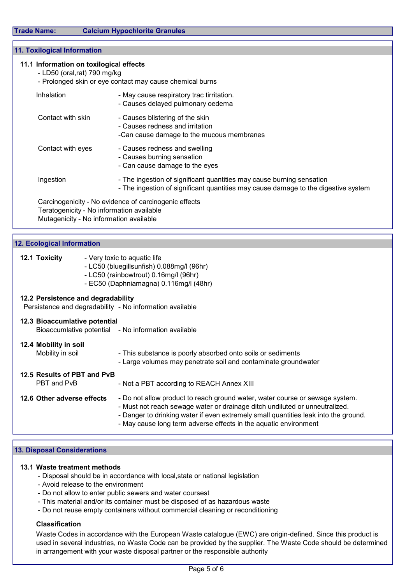Trade Name: Calcium Hypochlorite Granules

## 11. Toxilogical Information

## 11.1 Information on toxilogical effects

- LD50 (oral,rat) 790 mg/kg
- Prolonged skin or eye contact may cause chemical burns

| Inhalation                                                                                         | - May cause respiratory trac tirritation.<br>- Causes delayed pulmonary oedema                                                                              |  |  |  |
|----------------------------------------------------------------------------------------------------|-------------------------------------------------------------------------------------------------------------------------------------------------------------|--|--|--|
| Contact with skin                                                                                  | - Causes blistering of the skin<br>- Causes redness and irritation<br>-Can cause damage to the mucous membranes                                             |  |  |  |
| Contact with eyes                                                                                  | - Causes redness and swelling<br>- Causes burning sensation<br>- Can cause damage to the eyes                                                               |  |  |  |
| Ingestion                                                                                          | - The ingestion of significant quantities may cause burning sensation<br>- The ingestion of significant quantities may cause damage to the digestive system |  |  |  |
| Carcinogenicity - No evidence of carcinogenic effects<br>Teratogenicity - No information available |                                                                                                                                                             |  |  |  |

Mutagenicity - No information available

## 12. Ecological Information

| 12.1 Toxicity | - Very toxic to aquatic life |
|---------------|------------------------------|
|---------------|------------------------------|

- LC50 (bluegillsunfish) 0.088mg/l (96hr)
- LC50 (rainbowtrout) 0.16mg/l (96hr)
- EC50 (Daphniamagna) 0.116mg/l (48hr)

## 12.2 Persistence and degradability

Persistence and degradability - No information available

| 12.3 Bioaccumlative potential              | Bioaccumlative potential - No information available                                                                                                                                                                                                                                                                    |
|--------------------------------------------|------------------------------------------------------------------------------------------------------------------------------------------------------------------------------------------------------------------------------------------------------------------------------------------------------------------------|
| 12.4 Mobility in soil<br>Mobility in soil  | - This substance is poorly absorbed onto soils or sediments<br>- Large volumes may penetrate soil and contaminate groundwater                                                                                                                                                                                          |
| 12.5 Results of PBT and PvB<br>PBT and PvB | - Not a PBT according to REACH Annex XIII                                                                                                                                                                                                                                                                              |
| 12.6 Other adverse effects                 | - Do not allow product to reach ground water, water course or sewage system.<br>- Must not reach sewage water or drainage ditch undiluted or unneutralized.<br>- Danger to drinking water if even extremely small quantities leak into the ground.<br>- May cause long term adverse effects in the aquatic environment |

#### 13. Disposal Considerations

#### 13.1 Waste treatment methods

- Disposal should be in accordance with local,state or national legislation
- Avoid release to the environment
- Do not allow to enter public sewers and water coursest
- This material and/or its container must be disposed of as hazardous waste
- Do not reuse empty containers without commercial cleaning or reconditioning

#### Classification

Waste Codes in accordance with the European Waste catalogue (EWC) are origin-defined. Since this product is used in several industries, no Waste Code can be provided by the supplier. The Waste Code should be determined in arrangement with your waste disposal partner or the responsible authority